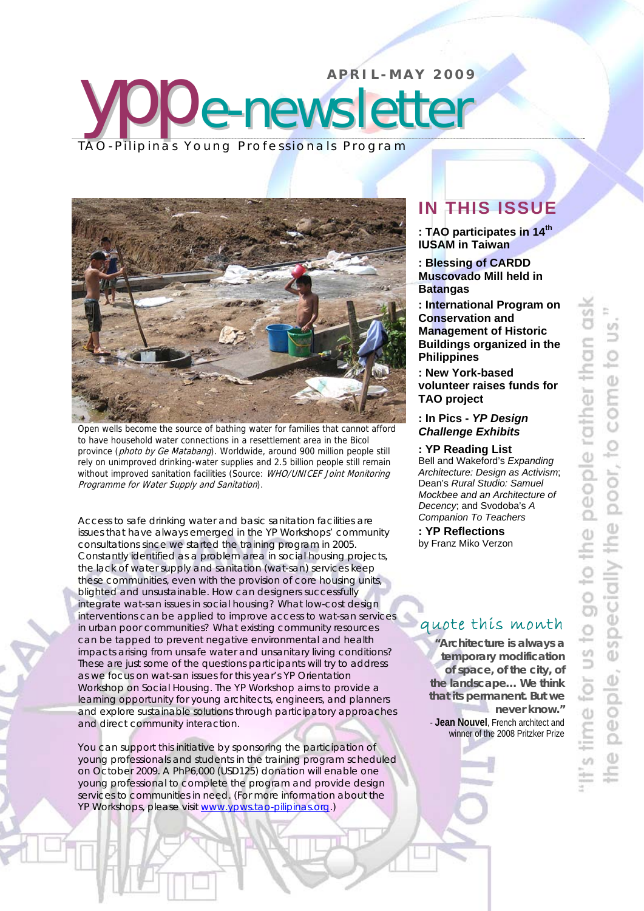



Open wells become the source of bathing water for families that cannot afford to have household water connections in a resettlement area in the Bicol province (photo by Ge Matabang). Worldwide, around 900 million people still rely on unimproved drinking-water supplies and 2.5 billion people still remain without improved sanitation facilities (Source: WHO/UNICEF Joint Monitoring Programme for Water Supply and Sanitation).

Access to safe drinking water and basic sanitation facilities are issues that have always emerged in the YP Workshops' community consultations since we started the training program in 2005. Constantly identified as a problem area in social housing projects, the lack of water supply and sanitation (wat-san) services keep these communities, even with the provision of core housing units, blighted and unsustainable. How can designers successfully integrate wat-san issues in social housing? What low-cost design interventions can be applied to improve access to wat-san services in urban poor communities? What existing community resources can be tapped to prevent negative environmental and health impacts arising from unsafe water and unsanitary living conditions? These are just some of the questions participants will try to address as we focus on wat-san issues for this year's YP Orientation Workshop on Social Housing. The YP Workshop aims to provide a learning opportunity for young architects, engineers, and planners and explore sustainable solutions through participatory approaches and direct community interaction.

You can support this initiative by sponsoring the participation of young professionals and students in the training program scheduled on October 2009. A PhP6,000 (USD125) donation will enable one young professional to complete the program and provide design services to communities in need. (For more information about the YP Workshops, please visit www.ypws.tao-pilipinas.org.)

# **IN THIS ISSUE**

**: TAO participates in 14th IUSAM in Taiwan** 

**: Blessing of CARDD Muscovado Mill held in Batangas** 

**: International Program on Conservation and Management of Historic Buildings organized in the Philippines** 

**: New York-based volunteer raises funds for TAO project** 

**: In Pics -** *YP Design Challenge Exhibits*

**: YP Reading List**

Bell and Wakeford's *Expanding Architecture: Design as Activism*; Dean's *Rural Studio: Samuel Mockbee and an Architecture of Decency*; and Svodoba's *A Companion To Teachers*

**: YP Reflections**  by Franz Miko Verzon

### quote this month

*"Architecture is always a temporary modification of space, of the city, of the landscape… We think that its permanent. But we never know."*  - **Jean Nouvel**, French architect and winner of the 2008 Pritzker Prize

poor, to come people rather especially the ao to the for us to  $\overline{a}$ peo t

Ĩ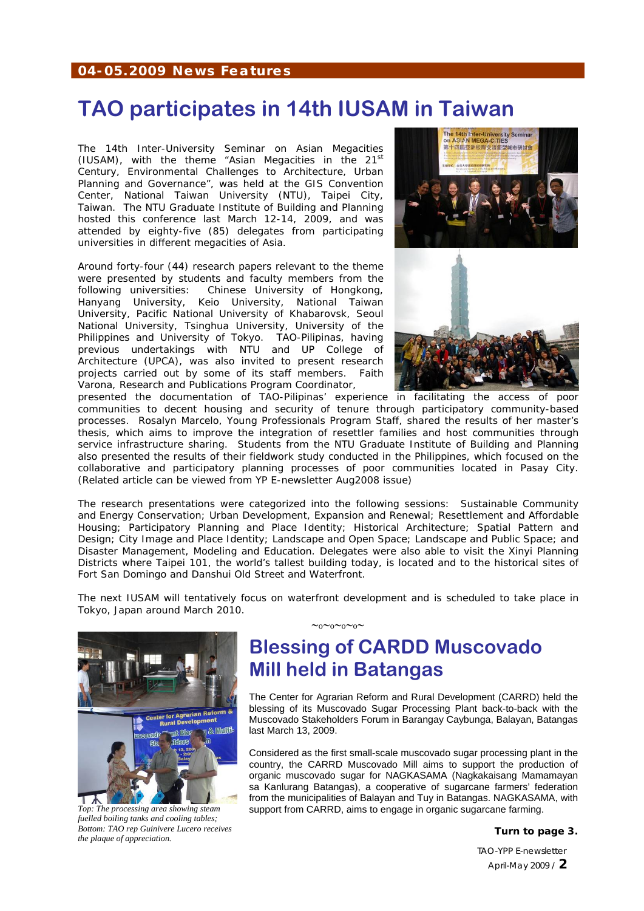#### **04-05.2009 News Features**

## **TAO participates in 14th IUSAM in Taiwan**

The 14th Inter-University Seminar on Asian Megacities (IUSAM), with the theme *"Asian Megacities in the 21st Century, Environmental Challenges to Architecture, Urban Planning and Governance",* was held at the GIS Convention Center, National Taiwan University (NTU), Taipei City, Taiwan. The NTU Graduate Institute of Building and Planning hosted this conference last March 12-14, 2009, and was attended by eighty-five (85) delegates from participating universities in different megacities of Asia.

Around forty-four (44) research papers relevant to the theme were presented by students and faculty members from the following universities: Chinese University of Hongkong, Hanyang University, Keio University, National Taiwan University, Pacific National University of Khabarovsk, Seoul National University, Tsinghua University, University of the Philippines and University of Tokyo. TAO-Pilipinas, having previous undertakings with NTU and UP College of Architecture (UPCA), was also invited to present research projects carried out by some of its staff members. Faith Varona, Research and Publications Program Coordinator,



presented the documentation of TAO-Pilipinas' experience in facilitating the access of poor communities to decent housing and security of tenure through participatory community-based processes. Rosalyn Marcelo, Young Professionals Program Staff, shared the results of her master's thesis, which aims to improve the integration of resettler families and host communities through service infrastructure sharing. Students from the NTU Graduate Institute of Building and Planning also presented the results of their fieldwork study conducted in the Philippines, which focused on the collaborative and participatory planning processes of poor communities located in Pasay City. *(Related article can be viewed from YP E-newsletter Aug2008 issue)* 

The research presentations were categorized into the following sessions: Sustainable Community and Energy Conservation; Urban Development, Expansion and Renewal; Resettlement and Affordable Housing; Participatory Planning and Place Identity; Historical Architecture; Spatial Pattern and Design; City Image and Place Identity; Landscape and Open Space; Landscape and Public Space; and Disaster Management, Modeling and Education. Delegates were also able to visit the Xinyi Planning Districts where Taipei 101, the world's tallest building today, is located and to the historical sites of Fort San Domingo and Danshui Old Street and Waterfront.

The next IUSAM will tentatively focus on waterfront development and is scheduled to take place in Tokyo, Japan around March 2010.

 $~\sim_0\sim_0\sim_0\sim$ 



*Top: The processing area showing steam fuelled boiling tanks and cooling tables; Bottom: TAO rep Guinivere Lucero receives the plaque of appreciation.* 

# **Blessing of CARDD Muscovado Mill held in Batangas**

The Center for Agrarian Reform and Rural Development (CARRD) held the blessing of its Muscovado Sugar Processing Plant back-to-back with the Muscovado Stakeholders Forum in Barangay Caybunga, Balayan, Batangas last March 13, 2009.

Considered as the first small-scale muscovado sugar processing plant in the country, the CARRD Muscovado Mill aims to support the production of organic muscovado sugar for NAGKASAMA (Nagkakaisang Mamamayan sa Kanlurang Batangas), a cooperative of sugarcane farmers' federation from the municipalities of Balayan and Tuy in Batangas. NAGKASAMA, with support from CARRD, aims to engage in organic sugarcane farming.

**Turn to page 3.**

TAO-YPP E-newsletter April-May 2009 / **2**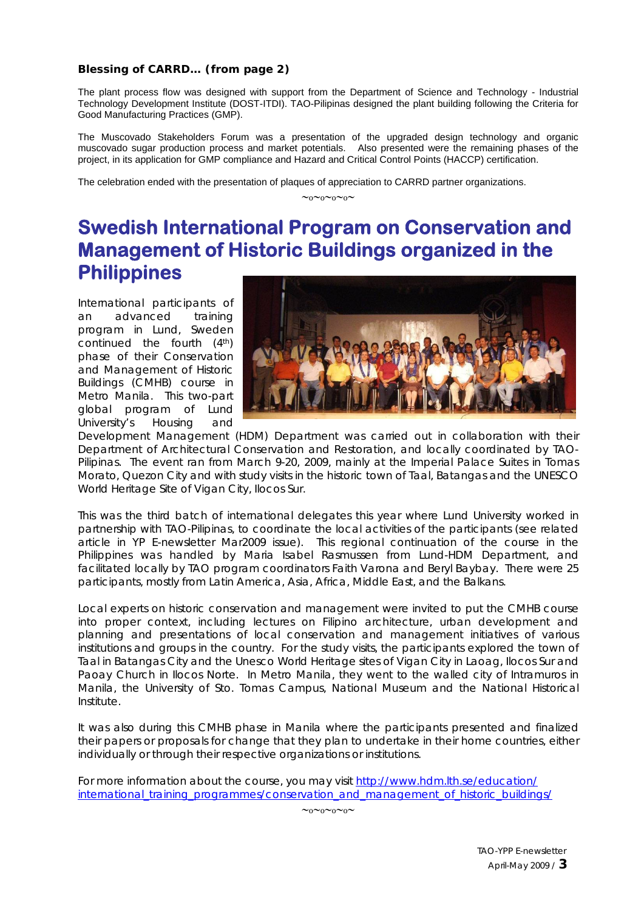#### **Blessing of CARRD… (from page 2)**

The plant process flow was designed with support from the Department of Science and Technology - Industrial Technology Development Institute (DOST-ITDI). TAO-Pilipinas designed the plant building following the Criteria for Good Manufacturing Practices (GMP).

The Muscovado Stakeholders Forum was a presentation of the upgraded design technology and organic muscovado sugar production process and market potentials. Also presented were the remaining phases of the project, in its application for GMP compliance and Hazard and Critical Control Points (HACCP) certification.

The celebration ended with the presentation of plaques of appreciation to CARRD partner organizations.

 $~\sim_0\sim_0\sim_0\sim$ 

### **Swedish International Program on Conservation and Management of Historic Buildings organized in the Philippines**

International participants of an advanced training program in Lund, Sweden continued the fourth (4th) phase of their Conservation and Management of Historic Buildings (CMHB) course in Metro Manila. This two-part global program of Lund University's Housing and



Development Management (HDM) Department was carried out in collaboration with their Department of Architectural Conservation and Restoration, and locally coordinated by TAO-Pilipinas. The event ran from March 9-20, 2009, mainly at the Imperial Palace Suites in Tomas Morato, Quezon City and with study visits in the historic town of Taal, Batangas and the UNESCO World Heritage Site of Vigan City, Ilocos Sur.

This was the third batch of international delegates this year where Lund University worked in partnership with TAO-Pilipinas, to coordinate the local activities of the participants *(see related article in YP E-newsletter Mar2009 issue).* This regional continuation of the course in the Philippines was handled by Maria Isabel Rasmussen from Lund-HDM Department, and facilitated locally by TAO program coordinators Faith Varona and Beryl Baybay. There were 25 participants, mostly from Latin America, Asia, Africa, Middle East, and the Balkans.

Local experts on historic conservation and management were invited to put the CMHB course into proper context, including lectures on Filipino architecture, urban development and planning and presentations of local conservation and management initiatives of various institutions and groups in the country. For the study visits, the participants explored the town of Taal in Batangas City and the Unesco World Heritage sites of Vigan City in Laoag, Ilocos Sur and Paoay Church in Ilocos Norte. In Metro Manila, they went to the walled city of Intramuros in Manila, the University of Sto. Tomas Campus, National Museum and the National Historical Institute.

It was also during this CMHB phase in Manila where the participants presented and finalized their papers or proposals for change that they plan to undertake in their home countries, either individually or through their respective organizations or institutions.

For more information about the course, you may visit http://www.hdm.lth.se/education/ international\_training\_programmes/conservation\_and\_management\_of\_historic\_buildings/

∼o∼o∼o∼o∼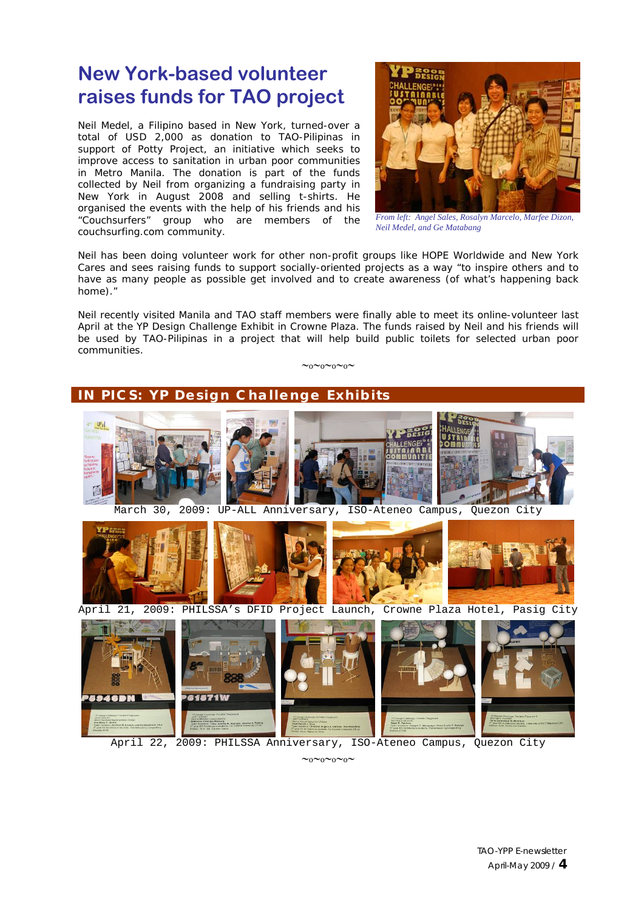## **New York-based volunteer raises funds for TAO project**

Neil Medel, a Filipino based in New York, turned-over a total of USD 2,000 as donation to TAO-Pilipinas in support of Potty Project, an initiative which seeks to improve access to sanitation in urban poor communities in Metro Manila. The donation is part of the funds collected by Neil from organizing a fundraising party in New York in August 2008 and selling t-shirts. He organised the events with the help of his friends and his "Couchsurfers" group who are members of the couchsurfing.com community.



*From left: Angel Sales, Rosalyn Marcelo, Marfee Dizon, Neil Medel, and Ge Matabang* 

Neil has been doing volunteer work for other non-profit groups like HOPE Worldwide and New York Cares and sees raising funds to support socially-oriented projects as a way "to inspire others and to have as many people as possible get involved and to create awareness (of what's happening back home)."

Neil recently visited Manila and TAO staff members were finally able to meet its online-volunteer last April at the YP Design Challenge Exhibit in Crowne Plaza. The funds raised by Neil and his friends will be used by TAO-Pilipinas in a project that will help build public toilets for selected urban poor communities.

∼o∼o∼o∼o∼



April 22, 2009: PHILSSA Anniversary, ISO-Ateneo Campus, Quezon City

 $~\sim$ o $\sim$ o $\sim$ o $\sim$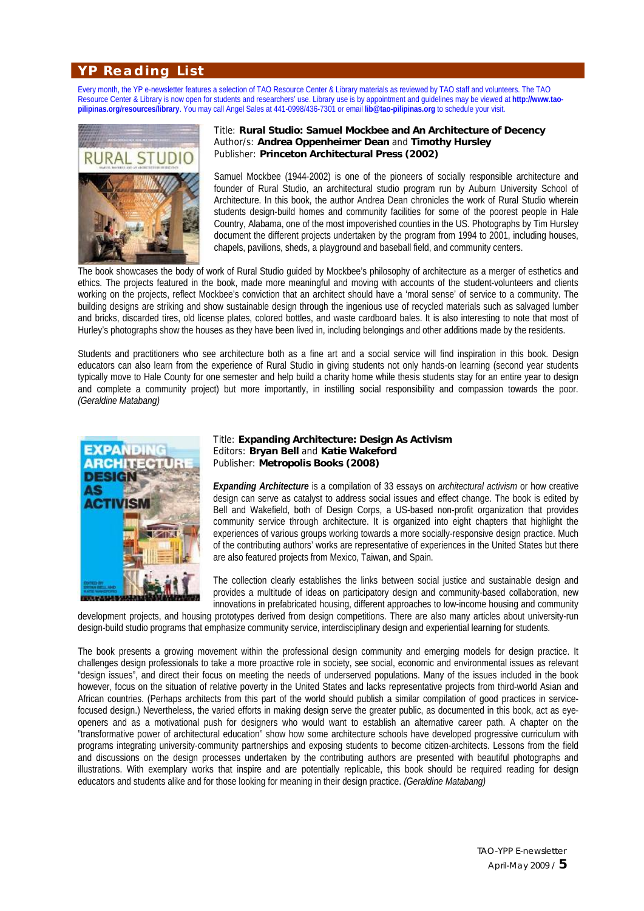### **YP Reading List**

Every month, the YP e-newsletter features a selection of TAO Resource Center & Library materials as reviewed by TAO staff and volunteers. The TAO Resource Center & Library is now open for students and researchers' use. Library use is by appointment and guidelines may be viewed at **http://www.taopilipinas.org/resources/library**. You may call Angel Sales at 441-0998/436-7301 or email **lib@tao-pilipinas.org** to schedule your visit.



#### Title: **Rural Studio: Samuel Mockbee and An Architecture of Decency** Author/s: **Andrea Oppenheimer Dean** and **Timothy Hursley** Publisher: **Princeton Architectural Press (2002)**

Samuel Mockbee (1944-2002) is one of the pioneers of socially responsible architecture and founder of Rural Studio, an architectural studio program run by Auburn University School of Architecture. In this book, the author Andrea Dean chronicles the work of Rural Studio wherein students design-build homes and community facilities for some of the poorest people in Hale Country, Alabama, one of the most impoverished counties in the US. Photographs by Tim Hursley document the different projects undertaken by the program from 1994 to 2001, including houses, chapels, pavilions, sheds, a playground and baseball field, and community centers.

The book showcases the body of work of Rural Studio guided by Mockbee's philosophy of architecture as a merger of esthetics and ethics. The projects featured in the book, made more meaningful and moving with accounts of the student-volunteers and clients working on the projects, reflect Mockbee's conviction that an architect should have a 'moral sense' of service to a community. The building designs are striking and show sustainable design through the ingenious use of recycled materials such as salvaged lumber and bricks, discarded tires, old license plates, colored bottles, and waste cardboard bales. It is also interesting to note that most of Hurley's photographs show the houses as they have been lived in, including belongings and other additions made by the residents.

Students and practitioners who see architecture both as a fine art and a social service will find inspiration in this book. Design educators can also learn from the experience of Rural Studio in giving students not only hands-on learning (second year students typically move to Hale County for one semester and help build a charity home while thesis students stay for an entire year to design and complete a community project) but more importantly, in instilling social responsibility and compassion towards the poor. *(Geraldine Matabang)*



#### Title: **Expanding Architecture: Design As Activism**  Editors: **Bryan Bell** and **Katie Wakeford**  Publisher: **Metropolis Books (2008)**

*Expanding Architecture* is a compilation of 33 essays on *architectural activism* or how creative design can serve as catalyst to address social issues and effect change. The book is edited by Bell and Wakefield, both of Design Corps, a US-based non-profit organization that provides community service through architecture. It is organized into eight chapters that highlight the experiences of various groups working towards a more socially-responsive design practice. Much of the contributing authors' works are representative of experiences in the United States but there are also featured projects from Mexico, Taiwan, and Spain.

The collection clearly establishes the links between social justice and sustainable design and provides a multitude of ideas on participatory design and community-based collaboration, new innovations in prefabricated housing, different approaches to low-income housing and community

development projects, and housing prototypes derived from design competitions. There are also many articles about university-run design-build studio programs that emphasize community service, interdisciplinary design and experiential learning for students.

The book presents a growing movement within the professional design community and emerging models for design practice. It challenges design professionals to take a more proactive role in society, see social, economic and environmental issues as relevant "design issues", and direct their focus on meeting the needs of underserved populations. Many of the issues included in the book however, focus on the situation of relative poverty in the United States and lacks representative projects from third-world Asian and African countries. (Perhaps architects from this part of the world should publish a similar compilation of good practices in servicefocused design.) Nevertheless, the varied efforts in making design serve the greater public, as documented in this book, act as eyeopeners and as a motivational push for designers who would want to establish an alternative career path. A chapter on the "transformative power of architectural education" show how some architecture schools have developed progressive curriculum with programs integrating university-community partnerships and exposing students to become citizen-architects. Lessons from the field and discussions on the design processes undertaken by the contributing authors are presented with beautiful photographs and illustrations. With exemplary works that inspire and are potentially replicable, this book should be required reading for design educators and students alike and for those looking for meaning in their design practice. *(Geraldine Matabang)*